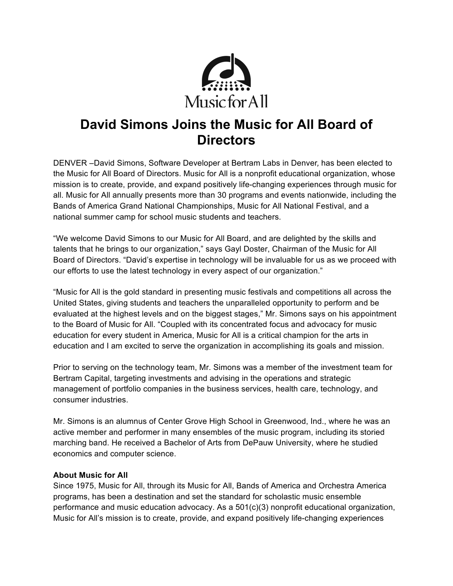

## **David Simons Joins the Music for All Board of Directors**

DENVER –David Simons, Software Developer at Bertram Labs in Denver, has been elected to the Music for All Board of Directors. Music for All is a nonprofit educational organization, whose mission is to create, provide, and expand positively life-changing experiences through music for all. Music for All annually presents more than 30 programs and events nationwide, including the Bands of America Grand National Championships, Music for All National Festival, and a national summer camp for school music students and teachers.

"We welcome David Simons to our Music for All Board, and are delighted by the skills and talents that he brings to our organization," says Gayl Doster, Chairman of the Music for All Board of Directors. "David's expertise in technology will be invaluable for us as we proceed with our efforts to use the latest technology in every aspect of our organization."

"Music for All is the gold standard in presenting music festivals and competitions all across the United States, giving students and teachers the unparalleled opportunity to perform and be evaluated at the highest levels and on the biggest stages," Mr. Simons says on his appointment to the Board of Music for All. "Coupled with its concentrated focus and advocacy for music education for every student in America, Music for All is a critical champion for the arts in education and I am excited to serve the organization in accomplishing its goals and mission.

Prior to serving on the technology team, Mr. Simons was a member of the investment team for Bertram Capital, targeting investments and advising in the operations and strategic management of portfolio companies in the business services, health care, technology, and consumer industries.

Mr. Simons is an alumnus of Center Grove High School in Greenwood, Ind., where he was an active member and performer in many ensembles of the music program, including its storied marching band. He received a Bachelor of Arts from DePauw University, where he studied economics and computer science.

## **About Music for All**

Since 1975, Music for All, through its Music for All, Bands of America and Orchestra America programs, has been a destination and set the standard for scholastic music ensemble performance and music education advocacy. As a 501(c)(3) nonprofit educational organization, Music for All's mission is to create, provide, and expand positively life-changing experiences